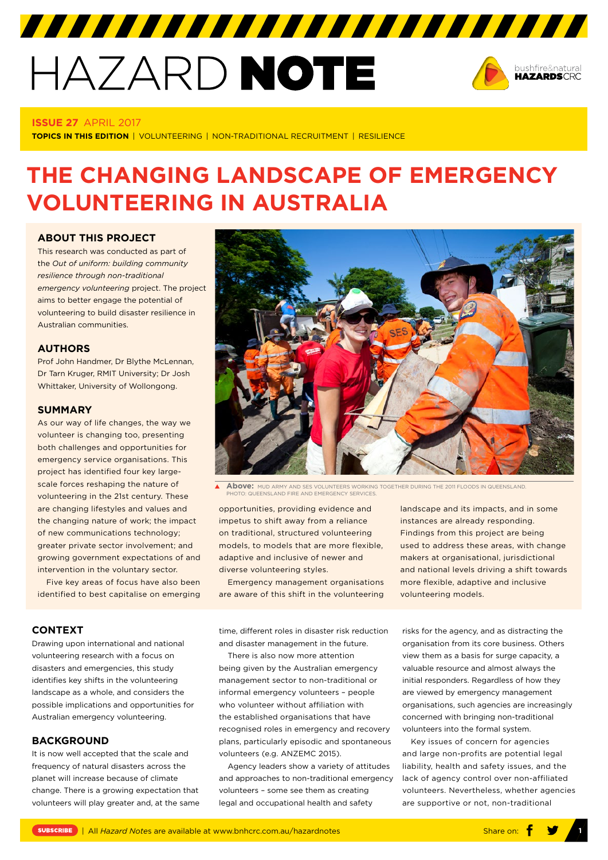# HAZARD NOTE



## **ISSUE 27** APRIL 2017

**TOPICS IN THIS EDITION** | VOLUNTEERING | NON-TRADITIONAL RECRUITMENT | RESILIENCE

# **THE CHANGING LANDSCAPE OF EMERGENCY VOLUNTEERING IN AUSTRALIA**

#### **ABOUT THIS PROJECT**

This research was conducted as part of the *Out of uniform: building community resilience through non-traditional emergency volunteering* project. The project aims to better engage the potential of volunteering to build disaster resilience in Australian communities.

# **AUTHORS**

Prof John Handmer, Dr Blythe McLennan, Dr Tarn Kruger, RMIT University; Dr Josh Whittaker, University of Wollongong.

#### **SUMMARY**

As our way of life changes, the way we volunteer is changing too, presenting both challenges and opportunities for emergency service organisations. This project has identified four key largescale forces reshaping the nature of volunteering in the 21st century. These are changing lifestyles and values and the changing nature of work; the impact of new communications technology; greater private sector involvement; and growing government expectations of and intervention in the voluntary sector.

Five key areas of focus have also been identified to best capitalise on emerging



**A BOVE:** MUD ARMY AND SES VOLUNTEERS WORKING TOGETHER DURING THE 2011 FLOODS IN QUEENSLAND. PHOTO: PHOTO: AND FIRE AND EMERGENCY SERVICES.

opportunities, providing evidence and impetus to shift away from a reliance on traditional, structured volunteering models, to models that are more flexible, adaptive and inclusive of newer and diverse volunteering styles.

Emergency management organisations are aware of this shift in the volunteering landscape and its impacts, and in some instances are already responding. Findings from this project are being used to address these areas, with change makers at organisational, jurisdictional and national levels driving a shift towards more flexible, adaptive and inclusive volunteering models.

#### **CONTEXT**

Drawing upon international and national volunteering research with a focus on disasters and emergencies, this study identifies key shifts in the volunteering landscape as a whole, and considers the possible implications and opportunities for Australian emergency volunteering.

# **BACKGROUND**

It is now well accepted that the scale and frequency of natural disasters across the planet will increase because of climate change. There is a growing expectation that volunteers will play greater and, at the same time, different roles in disaster risk reduction and disaster management in the future.

There is also now more attention being given by the Australian emergency management sector to non-traditional or informal emergency volunteers – people who volunteer without affiliation with the established organisations that have recognised roles in emergency and recovery plans, particularly episodic and spontaneous volunteers (e.g. ANZEMC 2015).

Agency leaders show a variety of attitudes and approaches to non-traditional emergency volunteers – some see them as creating legal and occupational health and safety

risks for the agency, and as distracting the organisation from its core business. Others view them as a basis for surge capacity, a valuable resource and almost always the initial responders. Regardless of how they are viewed by emergency management organisations, such agencies are increasingly concerned with bringing non-traditional volunteers into the formal system.

Key issues of concern for agencies and large non-profits are potential legal liability, health and safety issues, and the lack of agency control over non-affiliated volunteers. Nevertheless, whether agencies are supportive or not, non-traditional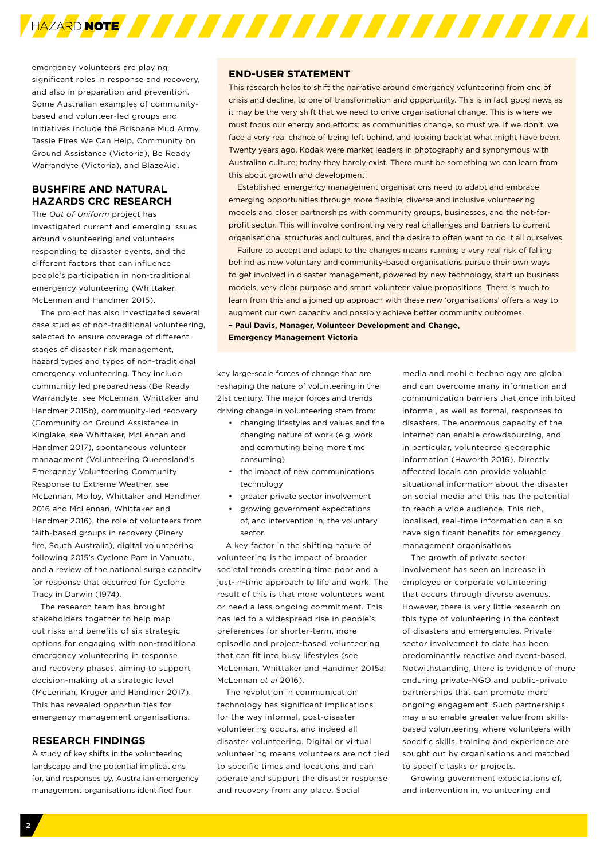

emergency volunteers are playing significant roles in response and recovery, and also in preparation and prevention. Some Australian examples of communitybased and volunteer-led groups and initiatives include the Brisbane Mud Army, Tassie Fires We Can Help, Community on Ground Assistance (Victoria), Be Ready Warrandyte (Victoria), and BlazeAid.

# **BUSHFIRE AND NATURAL HAZARDS CRC RESEARCH**

The *Out of Uniform* project has investigated current and emerging issues around volunteering and volunteers responding to disaster events, and the different factors that can influence people's participation in non-traditional emergency volunteering (Whittaker, McLennan and Handmer 2015).

The project has also investigated several case studies of non-traditional volunteering, selected to ensure coverage of different stages of disaster risk management, hazard types and types of non-traditional emergency volunteering. They include community led preparedness (Be Ready Warrandyte, see McLennan, Whittaker and Handmer 2015b), community-led recovery (Community on Ground Assistance in Kinglake, see Whittaker, McLennan and Handmer 2017), spontaneous volunteer management (Volunteering Queensland's Emergency Volunteering Community Response to Extreme Weather, see McLennan, Molloy, Whittaker and Handmer 2016 and McLennan, Whittaker and Handmer 2016), the role of volunteers from faith-based groups in recovery (Pinery fire, South Australia), digital volunteering following 2015's Cyclone Pam in Vanuatu, and a review of the national surge capacity for response that occurred for Cyclone Tracy in Darwin (1974).

The research team has brought stakeholders together to help map out risks and benefits of six strategic options for engaging with non-traditional emergency volunteering in response and recovery phases, aiming to support decision-making at a strategic level (McLennan, Kruger and Handmer 2017). This has revealed opportunities for emergency management organisations.

#### **RESEARCH FINDINGS**

A study of key shifts in the volunteering landscape and the potential implications for, and responses by, Australian emergency management organisations identified four

# **END-USER STATEMENT**

This research helps to shift the narrative around emergency volunteering from one of crisis and decline, to one of transformation and opportunity. This is in fact good news as it may be the very shift that we need to drive organisational change. This is where we must focus our energy and efforts; as communities change, so must we. If we don't, we face a very real chance of being left behind, and looking back at what might have been. Twenty years ago, Kodak were market leaders in photography and synonymous with Australian culture; today they barely exist. There must be something we can learn from this about growth and development.

Established emergency management organisations need to adapt and embrace emerging opportunities through more flexible, diverse and inclusive volunteering models and closer partnerships with community groups, businesses, and the not-forprofit sector. This will involve confronting very real challenges and barriers to current organisational structures and cultures, and the desire to often want to do it all ourselves.

Failure to accept and adapt to the changes means running a very real risk of falling behind as new voluntary and community-based organisations pursue their own ways to get involved in disaster management, powered by new technology, start up business models, very clear purpose and smart volunteer value propositions. There is much to learn from this and a joined up approach with these new 'organisations' offers a way to augment our own capacity and possibly achieve better community outcomes.

**– Paul Davis, Manager, Volunteer Development and Change,**

**Emergency Management Victoria** 

key large-scale forces of change that are reshaping the nature of volunteering in the 21st century. The major forces and trends driving change in volunteering stem from:

- changing lifestyles and values and the changing nature of work (e.g. work and commuting being more time consuming)
- the impact of new communications technology
- greater private sector involvement
- growing government expectations of, and intervention in, the voluntary sector.

A key factor in the shifting nature of volunteering is the impact of broader societal trends creating time poor and a just-in-time approach to life and work. The result of this is that more volunteers want or need a less ongoing commitment. This has led to a widespread rise in people's preferences for shorter-term, more episodic and project-based volunteering that can fit into busy lifestyles (see McLennan, Whittaker and Handmer 2015a; McLennan *et al* 2016).

The revolution in communication technology has significant implications for the way informal, post-disaster volunteering occurs, and indeed all disaster volunteering. Digital or virtual volunteering means volunteers are not tied to specific times and locations and can operate and support the disaster response and recovery from any place. Social

media and mobile technology are global and can overcome many information and communication barriers that once inhibited informal, as well as formal, responses to disasters. The enormous capacity of the Internet can enable crowdsourcing, and in particular, volunteered geographic information (Haworth 2016). Directly affected locals can provide valuable situational information about the disaster on social media and this has the potential to reach a wide audience. This rich, localised, real-time information can also have significant benefits for emergency management organisations.

The growth of private sector involvement has seen an increase in employee or corporate volunteering that occurs through diverse avenues. However, there is very little research on this type of volunteering in the context of disasters and emergencies. Private sector involvement to date has been predominantly reactive and event-based. Notwithstanding, there is evidence of more enduring private-NGO and public-private partnerships that can promote more ongoing engagement. Such partnerships may also enable greater value from skillsbased volunteering where volunteers with specific skills, training and experience are sought out by organisations and matched to specific tasks or projects.

Growing government expectations of, and intervention in, volunteering and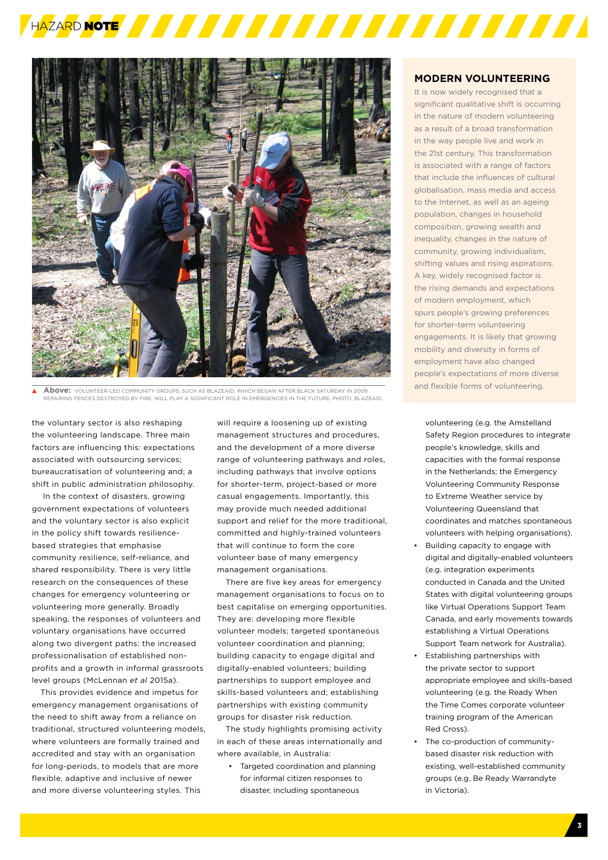



**Above:** VOLUNTEER-LED COMMUNITY GROUPS, SUCH AS BLAZEAID, WHICH BEGAN AFTER BLACK SATURDAY IN 2009 REPAIRING FENCES DESTROYED BY FIRE, WILL PLAY A SIGNIFICANT ROLE IN EMERGENCIES IN THE FUTURE. PHOTO: BLAZEAID.

the voluntary sector is also reshaping the volunteering landscape. Three main factors are influencing this: expectations associated with outsourcing services; bureaucratisation of volunteering and; a shift in public administration philosophy.

 In the context of disasters, growing government expectations of volunteers and the voluntary sector is also explicit in the policy shift towards resiliencebased strategies that emphasise community resilience, self-reliance, and shared responsibility. There is very little research on the consequences of these changes for emergency volunteering or volunteering more generally. Broadly speaking, the responses of volunteers and voluntary organisations have occurred along two divergent paths: the increased professionalisation of established nonprofits and a growth in informal grassroots level groups (McLennan *et al* 2015a).

This provides evidence and impetus for emergency management organisations of the need to shift away from a reliance on traditional, structured volunteering models, where volunteers are formally trained and accredited and stay with an organisation for long-periods, to models that are more flexible, adaptive and inclusive of newer and more diverse volunteering styles. This

will require a loosening up of existing management structures and procedures, and the development of a more diverse range of volunteering pathways and roles, including pathways that involve options for shorter-term, project-based or more casual engagements. Importantly, this may provide much needed additional support and relief for the more traditional, committed and highly-trained volunteers that will continue to form the core volunteer base of many emergency management organisations.

There are five key areas for emergency management organisations to focus on to best capitalise on emerging opportunities. They are: developing more flexible volunteer models; targeted spontaneous volunteer coordination and planning; building capacity to engage digital and digitally-enabled volunteers; building partnerships to support employee and skills-based volunteers and; establishing partnerships with existing community groups for disaster risk reduction.

The study highlights promising activity in each of these areas internationally and where available, in Australia:

• Targeted coordination and planning for informal citizen responses to disaster, including spontaneous

# **MODERN VOLUNTEERING**

It is now widely recognised that a significant qualitative shift is occurring in the nature of modern volunteering as a result of a broad transformation in the way people live and work in the 21st century. This transformation is associated with a range of factors that include the influences of cultural globalisation, mass media and access to the Internet, as well as an ageing population, changes in household composition, growing wealth and inequality, changes in the nature of community, growing individualism, shifting values and rising aspirations. A key, widely recognised factor is the rising demands and expectations of modern employment, which spurs people's growing preferences for shorter-term volunteering engagements. It is likely that growing mobility and diversity in forms of employment have also changed people's expectations of more diverse and flexible forms of volunteering.

volunteering (e.g. the Amstelland Safety Region procedures to integrate people's knowledge, skills and capacities with the formal response in the Netherlands; the Emergency Volunteering Community Response to Extreme Weather service by Volunteering Queensland that coordinates and matches spontaneous volunteers with helping organisations).

- Building capacity to engage with digital and digitally-enabled volunteers (e.g. integration experiments conducted in Canada and the United States with digital volunteering groups like Virtual Operations Support Team Canada, and early movements towards establishing a Virtual Operations Support Team network for Australia).
- Establishing partnerships with the private sector to support appropriate employee and skills-based volunteering (e.g. the Ready When the Time Comes corporate volunteer training program of the American Red Cross).
- The co-production of communitybased disaster risk reduction with existing, well-established community groups (e.g. Be Ready Warrandyte in Victoria).